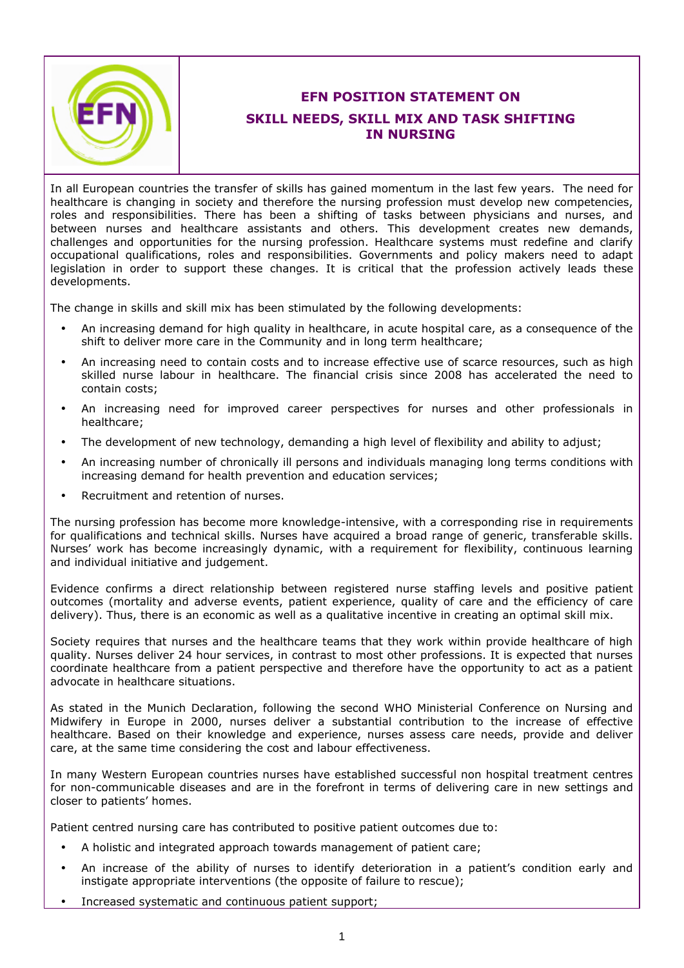

## **EFN POSITION STATEMENT ON SKILL NEEDS, SKILL MIX AND TASK SHIFTING IN NURSING**

In all European countries the transfer of skills has gained momentum in the last few years. The need for healthcare is changing in society and therefore the nursing profession must develop new competencies, roles and responsibilities. There has been a shifting of tasks between physicians and nurses, and between nurses and healthcare assistants and others. This development creates new demands, challenges and opportunities for the nursing profession. Healthcare systems must redefine and clarify occupational qualifications, roles and responsibilities. Governments and policy makers need to adapt legislation in order to support these changes. It is critical that the profession actively leads these developments.

The change in skills and skill mix has been stimulated by the following developments:

- An increasing demand for high quality in healthcare, in acute hospital care, as a consequence of the shift to deliver more care in the Community and in long term healthcare;
- An increasing need to contain costs and to increase effective use of scarce resources, such as high skilled nurse labour in healthcare. The financial crisis since 2008 has accelerated the need to contain costs;
- An increasing need for improved career perspectives for nurses and other professionals in healthcare;
- The development of new technology, demanding a high level of flexibility and ability to adjust;
- An increasing number of chronically ill persons and individuals managing long terms conditions with increasing demand for health prevention and education services;
- Recruitment and retention of nurses.

The nursing profession has become more knowledge-intensive, with a corresponding rise in requirements for qualifications and technical skills. Nurses have acquired a broad range of generic, transferable skills. Nurses' work has become increasingly dynamic, with a requirement for flexibility, continuous learning and individual initiative and judgement.

Evidence confirms a direct relationship between registered nurse staffing levels and positive patient outcomes (mortality and adverse events, patient experience, quality of care and the efficiency of care delivery). Thus, there is an economic as well as a qualitative incentive in creating an optimal skill mix.

Society requires that nurses and the healthcare teams that they work within provide healthcare of high quality. Nurses deliver 24 hour services, in contrast to most other professions. It is expected that nurses coordinate healthcare from a patient perspective and therefore have the opportunity to act as a patient advocate in healthcare situations.

As stated in the Munich Declaration, following the second WHO Ministerial Conference on Nursing and Midwifery in Europe in 2000, nurses deliver a substantial contribution to the increase of effective healthcare. Based on their knowledge and experience, nurses assess care needs, provide and deliver care, at the same time considering the cost and labour effectiveness.

In many Western European countries nurses have established successful non hospital treatment centres for non-communicable diseases and are in the forefront in terms of delivering care in new settings and closer to patients' homes.

Patient centred nursing care has contributed to positive patient outcomes due to:

- A holistic and integrated approach towards management of patient care;
- An increase of the ability of nurses to identify deterioration in a patient's condition early and instigate appropriate interventions (the opposite of failure to rescue);
- Increased systematic and continuous patient support;